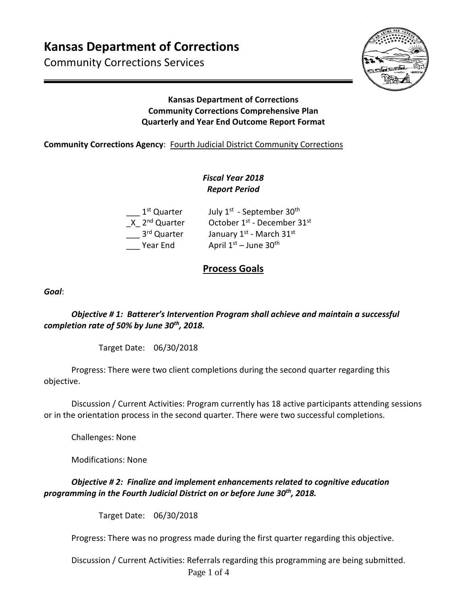# **Kansas Department of Corrections**

Community Corrections Services



## **Kansas Department of Corrections Community Corrections Comprehensive Plan Quarterly and Year End Outcome Report Format**

## **Community Corrections Agency**: Fourth Judicial District Community Corrections

## *Fiscal Year 2018 Report Period*

| July 1 <sup>st</sup> - September 30 <sup>th</sup> |
|---------------------------------------------------|
| October 1st - December 31st                       |
|                                                   |
|                                                   |
|                                                   |

# **Process Goals**

*Goal*:

*Objective # 1: Batterer's Intervention Program shall achieve and maintain a successful completion rate of 50% by June 30th, 2018.* 

Target Date: 06/30/2018

Progress: There were two client completions during the second quarter regarding this objective.

Discussion / Current Activities: Program currently has 18 active participants attending sessions or in the orientation process in the second quarter. There were two successful completions.

Challenges: None

Modifications: None

## *Objective # 2: Finalize and implement enhancements related to cognitive education programming in the Fourth Judicial District on or before June 30th, 2018.*

Target Date: 06/30/2018

Progress: There was no progress made during the first quarter regarding this objective.

Page 1 of 4 Discussion / Current Activities: Referrals regarding this programming are being submitted.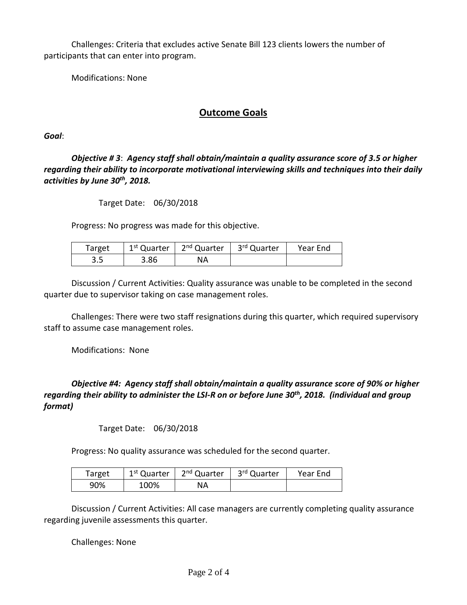Challenges: Criteria that excludes active Senate Bill 123 clients lowers the number of participants that can enter into program.

Modifications: None

## **Outcome Goals**

*Goal*:

*Objective # 3*: *Agency staff shall obtain/maintain a quality assurance score of 3.5 or higher regarding their ability to incorporate motivational interviewing skills and techniques into their daily activities by June 30th, 2018.* 

Target Date: 06/30/2018

Progress: No progress was made for this objective.

| Target | 1 <sup>st</sup> Quarter | 2 <sup>nd</sup> Quarter | 3 <sup>rd</sup> Quarter | Year End |
|--------|-------------------------|-------------------------|-------------------------|----------|
| ວ.ວ    | 3.86                    | NA                      |                         |          |

Discussion / Current Activities: Quality assurance was unable to be completed in the second quarter due to supervisor taking on case management roles.

Challenges: There were two staff resignations during this quarter, which required supervisory staff to assume case management roles.

Modifications: None

*Objective #4: Agency staff shall obtain/maintain a quality assurance score of 90% or higher regarding their ability to administer the LSI-R on or before June 30th, 2018. (individual and group format)* 

Target Date: 06/30/2018

Progress: No quality assurance was scheduled for the second quarter.

| Target | 1 <sup>st</sup> Quarter | 2 <sup>nd</sup> Quarter | 3 <sup>rd</sup> Quarter | Year End |
|--------|-------------------------|-------------------------|-------------------------|----------|
| 90%    | 100%                    | NА                      |                         |          |

Discussion / Current Activities: All case managers are currently completing quality assurance regarding juvenile assessments this quarter.

Challenges: None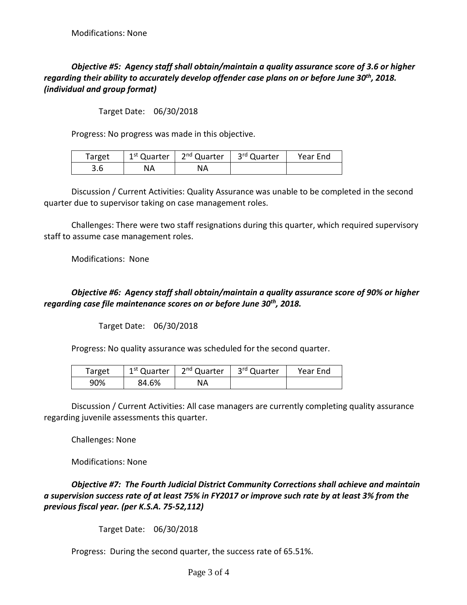## *Objective #5: Agency staff shall obtain/maintain a quality assurance score of 3.6 or higher regarding their ability to accurately develop offender case plans on or before June 30th, 2018. (individual and group format)*

Target Date: 06/30/2018

Progress: No progress was made in this objective.

| Target | 1 <sup>st</sup> Quarter | 2 <sup>nd</sup> Quarter | 3 <sup>rd</sup> Quarter | Year End |
|--------|-------------------------|-------------------------|-------------------------|----------|
| 3.6    | ΝA                      | NΑ                      |                         |          |

Discussion / Current Activities: Quality Assurance was unable to be completed in the second quarter due to supervisor taking on case management roles.

Challenges: There were two staff resignations during this quarter, which required supervisory staff to assume case management roles.

Modifications: None

#### *Objective #6: Agency staff shall obtain/maintain a quality assurance score of 90% or higher regarding case file maintenance scores on or before June 30th, 2018.*

Target Date: 06/30/2018

Progress: No quality assurance was scheduled for the second quarter.

| Target | 1 <sup>st</sup> Quarter | 2 <sup>nd</sup> Quarter | 3 <sup>rd</sup> Quarter | Year End |
|--------|-------------------------|-------------------------|-------------------------|----------|
| 90%    | 84.6%                   | NΑ                      |                         |          |

Discussion / Current Activities: All case managers are currently completing quality assurance regarding juvenile assessments this quarter.

Challenges: None

Modifications: None

*Objective #7: The Fourth Judicial District Community Corrections shall achieve and maintain a supervision success rate of at least 75% in FY2017 or improve such rate by at least 3% from the previous fiscal year. (per K.S.A. 75-52,112)*

Target Date: 06/30/2018

Progress: During the second quarter, the success rate of 65.51%.